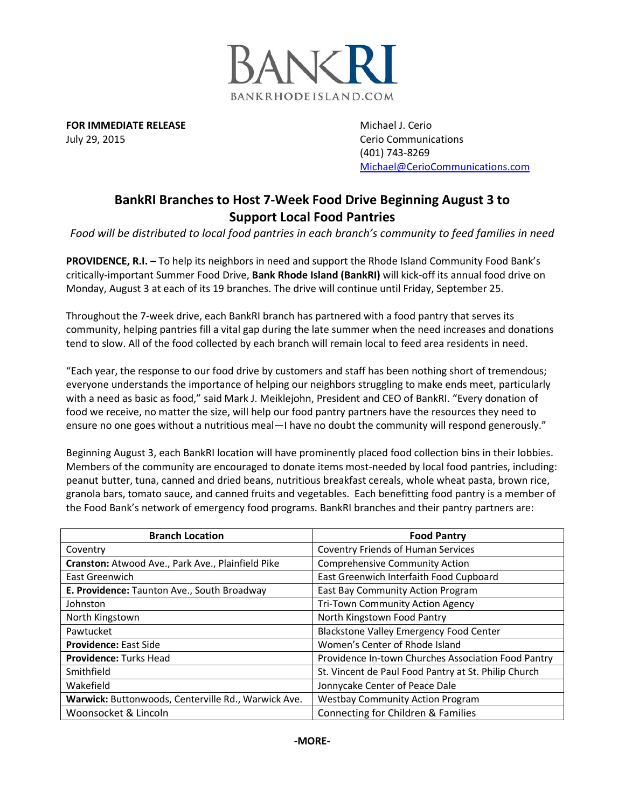

**FOR IMMEDIATE RELEASE** Michael J. Cerio July 29, 2015 Cerio Communications

(401) 743-8269 [Michael@CerioCommunications.com](mailto:Michael@CerioCommunications.com)

## **BankRI Branches to Host 7-Week Food Drive Beginning August 3 to Support Local Food Pantries**

*Food will be distributed to local food pantries in each branch's community to feed families in need*

**PROVIDENCE, R.I. –** To help its neighbors in need and support the Rhode Island Community Food Bank's critically-important Summer Food Drive, **Bank Rhode Island (BankRI)** will kick-off its annual food drive on Monday, August 3 at each of its 19 branches. The drive will continue until Friday, September 25.

Throughout the 7-week drive, each BankRI branch has partnered with a food pantry that serves its community, helping pantries fill a vital gap during the late summer when the need increases and donations tend to slow. All of the food collected by each branch will remain local to feed area residents in need.

"Each year, the response to our food drive by customers and staff has been nothing short of tremendous; everyone understands the importance of helping our neighbors struggling to make ends meet, particularly with a need as basic as food," said Mark J. Meiklejohn, President and CEO of BankRI. "Every donation of food we receive, no matter the size, will help our food pantry partners have the resources they need to ensure no one goes without a nutritious meal—I have no doubt the community will respond generously."

Beginning August 3, each BankRI location will have prominently placed food collection bins in their lobbies. Members of the community are encouraged to donate items most-needed by local food pantries, including: peanut butter, tuna, canned and dried beans, nutritious breakfast cereals, whole wheat pasta, brown rice, granola bars, tomato sauce, and canned fruits and vegetables. Each benefitting food pantry is a member of the Food Bank's network of emergency food programs. BankRI branches and their pantry partners are:

| <b>Branch Location</b>                              | <b>Food Pantry</b>                                   |
|-----------------------------------------------------|------------------------------------------------------|
| Coventry                                            | <b>Coventry Friends of Human Services</b>            |
| Cranston: Atwood Ave., Park Ave., Plainfield Pike   | <b>Comprehensive Community Action</b>                |
| East Greenwich                                      | East Greenwich Interfaith Food Cupboard              |
| E. Providence: Taunton Ave., South Broadway         | East Bay Community Action Program                    |
| Johnston                                            | Tri-Town Community Action Agency                     |
| North Kingstown                                     | North Kingstown Food Pantry                          |
| Pawtucket                                           | Blackstone Valley Emergency Food Center              |
| <b>Providence: East Side</b>                        | Women's Center of Rhode Island                       |
| <b>Providence: Turks Head</b>                       | Providence In-town Churches Association Food Pantry  |
| Smithfield                                          | St. Vincent de Paul Food Pantry at St. Philip Church |
| Wakefield                                           | Jonnycake Center of Peace Dale                       |
| Warwick: Buttonwoods, Centerville Rd., Warwick Ave. | <b>Westbay Community Action Program</b>              |
| Woonsocket & Lincoln                                | <b>Connecting for Children &amp; Families</b>        |